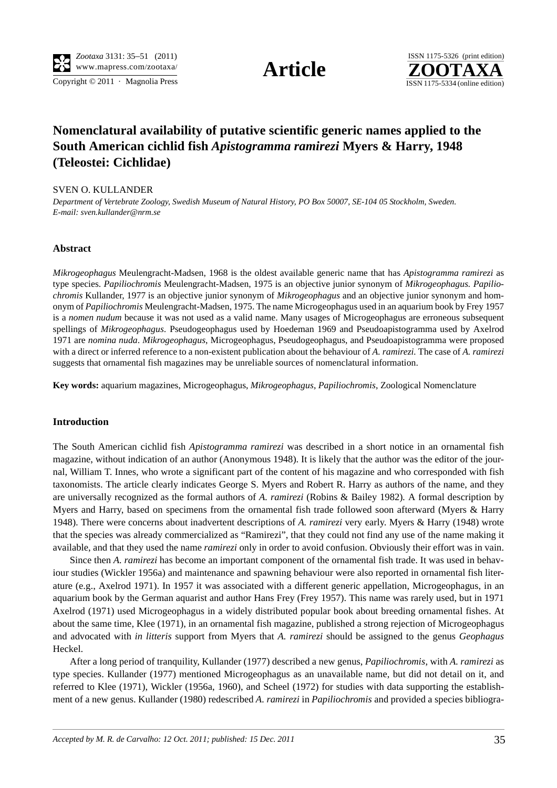Copyright  $\odot$  2011 · Magnolia Press ISSN 1175-5334 (online edition)



# **Nomenclatural availability of putative scientific generic names applied to the South American cichlid fish** *Apistogramma ramirezi* **Myers & Harry, 1948 (Teleostei: Cichlidae)**

## SVEN O. KULLANDER

*Department of Vertebrate Zoology, Swedish Museum of Natural History, PO Box 50007, SE-104 05 Stockholm, Sweden. E-mail: sven.kullander@nrm.se*

### **Abstract**

*Mikrogeophagus* Meulengracht-Madsen, 1968 is the oldest available generic name that has *Apistogramma ramirezi* as type species. *Papiliochromis* Meulengracht-Madsen, 1975 is an objective junior synonym of *Mikrogeophagus. Papiliochromis* Kullander, 1977 is an objective junior synonym of *Mikrogeophagus* and an objective junior synonym and homonym of *Papiliochromis* Meulengracht-Madsen, 1975. The name Microgeophagus used in an aquarium book by Frey 1957 is a *nomen nudum* because it was not used as a valid name. Many usages of Microgeophagus are erroneous subsequent spellings of *Mikrogeophagus*. Pseudogeophagus used by Hoedeman 1969 and Pseudoapistogramma used by Axelrod 1971 are *nomina nuda*. *Mikrogeophagus*, Microgeophagus, Pseudogeophagus, and Pseudoapistogramma were proposed with a direct or inferred reference to a non-existent publication about the behaviour of *A. ramirezi.* The case of *A. ramirezi* suggests that ornamental fish magazines may be unreliable sources of nomenclatural information.

**Key words:** aquarium magazines, Microgeophagus, *Mikrogeophagus*, *Papiliochromis*, Zoological Nomenclature

### **Introduction**

The South American cichlid fish *Apistogramma ramirezi* was described in a short notice in an ornamental fish magazine, without indication of an author (Anonymous 1948). It is likely that the author was the editor of the journal, William T. Innes, who wrote a significant part of the content of his magazine and who corresponded with fish taxonomists. The article clearly indicates George S. Myers and Robert R. Harry as authors of the name, and they are universally recognized as the formal authors of *A. ramirezi* (Robins & Bailey 1982)*.* A formal description by Myers and Harry, based on specimens from the ornamental fish trade followed soon afterward (Myers & Harry 1948). There were concerns about inadvertent descriptions of *A. ramirezi* very early. Myers & Harry (1948) wrote that the species was already commercialized as "Ramirezi", that they could not find any use of the name making it available, and that they used the name *ramirezi* only in order to avoid confusion. Obviously their effort was in vain.

Since then *A. ramirezi* has become an important component of the ornamental fish trade. It was used in behaviour studies (Wickler 1956a) and maintenance and spawning behaviour were also reported in ornamental fish literature (e.g., Axelrod 1971). In 1957 it was associated with a different generic appellation, Microgeophagus, in an aquarium book by the German aquarist and author Hans Frey (Frey 1957). This name was rarely used, but in 1971 Axelrod (1971) used Microgeophagus in a widely distributed popular book about breeding ornamental fishes. At about the same time, Klee (1971), in an ornamental fish magazine, published a strong rejection of Microgeophagus and advocated with *in litteris* support from Myers that *A. ramirezi* should be assigned to the genus *Geophagus* Heckel.

After a long period of tranquility, Kullander (1977) described a new genus, *Papiliochromis*, with *A. ramirezi* as type species. Kullander (1977) mentioned Microgeophagus as an unavailable name, but did not detail on it, and referred to Klee (1971), Wickler (1956a, 1960), and Scheel (1972) for studies with data supporting the establishment of a new genus. Kullander (1980) redescribed *A. ramirezi* in *Papiliochromis* and provided a species bibliogra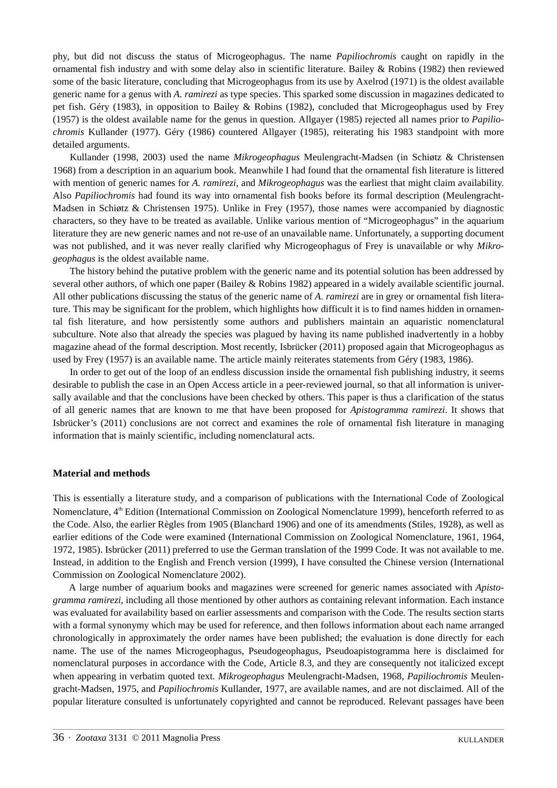phy, but did not discuss the status of Microgeophagus. The name *Papiliochromis* caught on rapidly in the ornamental fish industry and with some delay also in scientific literature. Bailey & Robins (1982) then reviewed some of the basic literature, concluding that Microgeophagus from its use by Axelrod (1971) is the oldest available generic name for a genus with *A. ramirezi* as type species. This sparked some discussion in magazines dedicated to pet fish. Géry (1983), in opposition to Bailey & Robins (1982), concluded that Microgeophagus used by Frey (1957) is the oldest available name for the genus in question. Allgayer (1985) rejected all names prior to *Papiliochromis* Kullander (1977). Géry (1986) countered Allgayer (1985), reiterating his 1983 standpoint with more detailed arguments.

Kullander (1998, 2003) used the name *Mikrogeophagus* Meulengracht-Madsen (in Schiøtz & Christensen 1968) from a description in an aquarium book. Meanwhile I had found that the ornamental fish literature is littered with mention of generic names for *A. ramirezi*, and *Mikrogeophagus* was the earliest that might claim availability. Also *Papiliochromis* had found its way into ornamental fish books before its formal description (Meulengracht-Madsen in Schiøtz & Christensen 1975). Unlike in Frey (1957), those names were accompanied by diagnostic characters, so they have to be treated as available. Unlike various mention of "Microgeophagus" in the aquarium literature they are new generic names and not re-use of an unavailable name. Unfortunately, a supporting document was not published, and it was never really clarified why Microgeophagus of Frey is unavailable or why *Mikrogeophagus* is the oldest available name.

The history behind the putative problem with the generic name and its potential solution has been addressed by several other authors, of which one paper (Bailey & Robins 1982) appeared in a widely available scientific journal. All other publications discussing the status of the generic name of *A. ramirezi* are in grey or ornamental fish literature. This may be significant for the problem, which highlights how difficult it is to find names hidden in ornamental fish literature, and how persistently some authors and publishers maintain an aquaristic nomenclatural subculture. Note also that already the species was plagued by having its name published inadvertently in a hobby magazine ahead of the formal description. Most recently, Isbrücker (2011) proposed again that Microgeophagus as used by Frey (1957) is an available name. The article mainly reiterates statements from Géry (1983, 1986).

In order to get out of the loop of an endless discussion inside the ornamental fish publishing industry, it seems desirable to publish the case in an Open Access article in a peer-reviewed journal, so that all information is universally available and that the conclusions have been checked by others. This paper is thus a clarification of the status of all generic names that are known to me that have been proposed for *Apistogramma ramirezi*. It shows that Isbrücker's (2011) conclusions are not correct and examines the role of ornamental fish literature in managing information that is mainly scientific, including nomenclatural acts.

# **Material and methods**

This is essentially a literature study, and a comparison of publications with the International Code of Zoological Nomenclature, 4th Edition (International Commission on Zoological Nomenclature 1999), henceforth referred to as the Code. Also, the earlier Règles from 1905 (Blanchard 1906) and one of its amendments (Stiles, 1928), as well as earlier editions of the Code were examined (International Commission on Zoological Nomenclature, 1961, 1964, 1972, 1985). Isbrücker (2011) preferred to use the German translation of the 1999 Code. It was not available to me. Instead, in addition to the English and French version (1999), I have consulted the Chinese version (International Commission on Zoological Nomenclature 2002).

A large number of aquarium books and magazines were screened for generic names associated with *Apistogramma ramirezi*, including all those mentioned by other authors as containing relevant information. Each instance was evaluated for availability based on earlier assessments and comparison with the Code. The results section starts with a formal synonymy which may be used for reference, and then follows information about each name arranged chronologically in approximately the order names have been published; the evaluation is done directly for each name. The use of the names Microgeophagus, Pseudogeophagus, Pseudoapistogramma here is disclaimed for nomenclatural purposes in accordance with the Code, Article 8.3, and they are consequently not italicized except when appearing in verbatim quoted text. *Mikrogeophagus* Meulengracht-Madsen, 1968, *Papiliochromis* Meulengracht-Madsen, 1975, and *Papiliochromis* Kullander, 1977, are available names, and are not disclaimed. All of the popular literature consulted is unfortunately copyrighted and cannot be reproduced. Relevant passages have been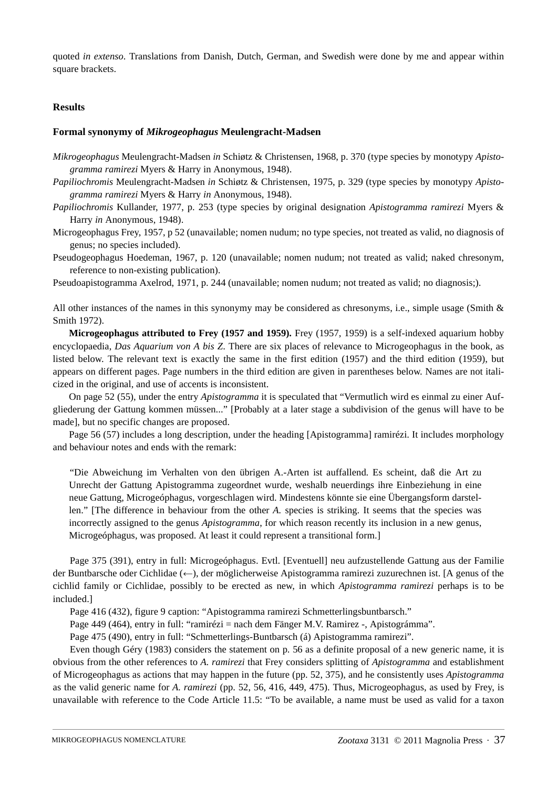quoted *in extenso*. Translations from Danish, Dutch, German, and Swedish were done by me and appear within square brackets.

# **Results**

# **Formal synonymy of** *Mikrogeophagus* **Meulengracht-Madsen**

- *Mikrogeophagus* Meulengracht-Madsen *in* Schiøtz & Christensen, 1968, p. 370 (type species by monotypy *Apistogramma ramirezi* Myers & Harry in Anonymous, 1948).
- *Papiliochromis* Meulengracht-Madsen *in* Schiøtz & Christensen, 1975, p. 329 (type species by monotypy *Apistogramma ramirezi* Myers & Harry *in* Anonymous, 1948).
- *Papiliochromis* Kullander, 1977, p. 253 (type species by original designation *Apistogramma ramirezi* Myers & Harry *in* Anonymous, 1948).
- Microgeophagus Frey, 1957, p 52 (unavailable; nomen nudum; no type species, not treated as valid, no diagnosis of genus; no species included).
- Pseudogeophagus Hoedeman, 1967, p. 120 (unavailable; nomen nudum; not treated as valid; naked chresonym, reference to non-existing publication).

Pseudoapistogramma Axelrod, 1971, p. 244 (unavailable; nomen nudum; not treated as valid; no diagnosis;).

All other instances of the names in this synonymy may be considered as chresonyms, i.e., simple usage (Smith & Smith 1972).

**Microgeophagus attributed to Frey (1957 and 1959).** Frey (1957, 1959) is a self-indexed aquarium hobby encyclopaedia, *Das Aquarium von A bis Z*. There are six places of relevance to Microgeophagus in the book, as listed below. The relevant text is exactly the same in the first edition (1957) and the third edition (1959), but appears on different pages. Page numbers in the third edition are given in parentheses below. Names are not italicized in the original, and use of accents is inconsistent.

On page 52 (55), under the entry *Apistogramma* it is speculated that "Vermutlich wird es einmal zu einer Aufgliederung der Gattung kommen müssen..." [Probably at a later stage a subdivision of the genus will have to be made], but no specific changes are proposed.

Page 56 (57) includes a long description, under the heading [Apistogramma] ramirézi. It includes morphology and behaviour notes and ends with the remark:

"Die Abweichung im Verhalten von den übrigen A.-Arten ist auffallend. Es scheint, daß die Art zu Unrecht der Gattung Apistogramma zugeordnet wurde, weshalb neuerdings ihre Einbeziehung in eine neue Gattung, Microgeóphagus, vorgeschlagen wird. Mindestens könnte sie eine Übergangsform darstellen." [The difference in behaviour from the other *A.* species is striking. It seems that the species was incorrectly assigned to the genus *Apistogramma*, for which reason recently its inclusion in a new genus, Microgeóphagus, was proposed. At least it could represent a transitional form.]

Page 375 (391), entry in full: Microgeóphagus. Evtl. [Eventuell] neu aufzustellende Gattung aus der Familie der Buntbarsche oder Cichlidae (←), der möglicherweise Apistogramma ramirezi zuzurechnen ist. [A genus of the cichlid family or Cichlidae, possibly to be erected as new, in which *Apistogramma ramirezi* perhaps is to be included.]

Page 416 (432), figure 9 caption: "Apistogramma ramirezi Schmetterlingsbuntbarsch."

Page 449 (464), entry in full: "ramirézi = nach dem Fänger M.V. Ramirez -, Apistográmma".

Page 475 (490), entry in full: "Schmetterlings-Buntbarsch (á) Apistogramma ramirezi".

Even though Géry (1983) considers the statement on p. 56 as a definite proposal of a new generic name, it is obvious from the other references to *A. ramirezi* that Frey considers splitting of *Apistogramma* and establishment of Microgeophagus as actions that may happen in the future (pp. 52, 375), and he consistently uses *Apistogramma* as the valid generic name for *A. ramirezi* (pp. 52, 56, 416, 449, 475). Thus, Microgeophagus, as used by Frey, is unavailable with reference to the Code Article 11.5: "To be available, a name must be used as valid for a taxon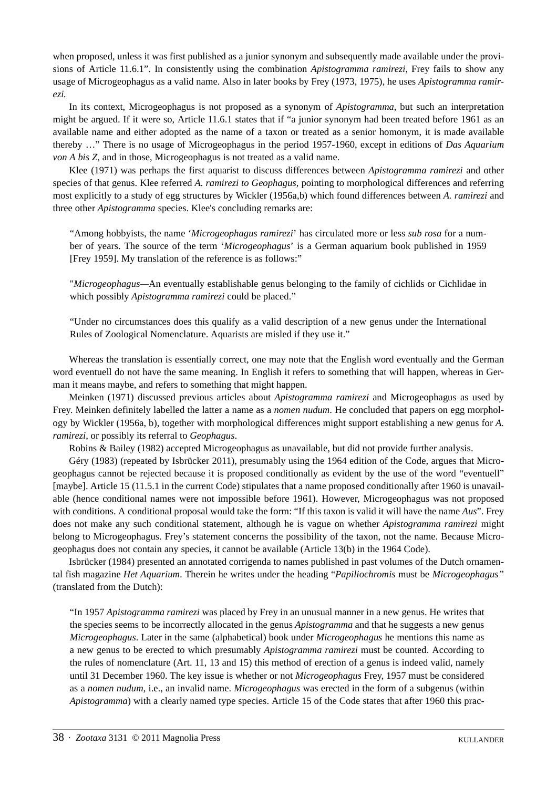when proposed, unless it was first published as a junior synonym and subsequently made available under the provisions of Article 11.6.1". In consistently using the combination *Apistogramma ramirezi*, Frey fails to show any usage of Microgeophagus as a valid name. Also in later books by Frey (1973, 1975), he uses *Apistogramma ramirezi.*

In its context, Microgeophagus is not proposed as a synonym of *Apistogramma*, but such an interpretation might be argued. If it were so, Article 11.6.1 states that if "a junior synonym had been treated before 1961 as an available name and either adopted as the name of a taxon or treated as a senior homonym, it is made available thereby …" There is no usage of Microgeophagus in the period 1957-1960, except in editions of *Das Aquarium von A bis Z*, and in those, Microgeophagus is not treated as a valid name.

Klee (1971) was perhaps the first aquarist to discuss differences between *Apistogramma ramirezi* and other species of that genus. Klee referred *A. ramirezi to Geophagus*, pointing to morphological differences and referring most explicitly to a study of egg structures by Wickler (1956a,b) which found differences between *A. ramirezi* and three other *Apistogramma* species. Klee's concluding remarks are:

"Among hobbyists, the name '*Microgeophagus ramirezi*' has circulated more or less *sub rosa* for a number of years. The source of the term '*Microgeophagus*' is a German aquarium book published in 1959 [Frey 1959]. My translation of the reference is as follows:"

"*Microgeophagus—*An eventually establishable genus belonging to the family of cichlids or Cichlidae in which possibly *Apistogramma ramirezi* could be placed."

"Under no circumstances does this qualify as a valid description of a new genus under the International Rules of Zoological Nomenclature. Aquarists are misled if they use it."

Whereas the translation is essentially correct, one may note that the English word eventually and the German word eventuell do not have the same meaning. In English it refers to something that will happen, whereas in German it means maybe, and refers to something that might happen.

Meinken (1971) discussed previous articles about *Apistogramma ramirezi* and Microgeophagus as used by Frey. Meinken definitely labelled the latter a name as a *nomen nudum*. He concluded that papers on egg morphology by Wickler (1956a, b), together with morphological differences might support establishing a new genus for *A. ramirezi*, or possibly its referral to *Geophagus*.

Robins & Bailey (1982) accepted Microgeophagus as unavailable, but did not provide further analysis.

Géry (1983) (repeated by Isbrücker 2011), presumably using the 1964 edition of the Code, argues that Microgeophagus cannot be rejected because it is proposed conditionally as evident by the use of the word "eventuell" [maybe]. Article 15 (11.5.1 in the current Code) stipulates that a name proposed conditionally after 1960 is unavailable (hence conditional names were not impossible before 1961). However, Microgeophagus was not proposed with conditions. A conditional proposal would take the form: "If this taxon is valid it will have the name *Aus*". Frey does not make any such conditional statement, although he is vague on whether *Apistogramma ramirezi* might belong to Microgeophagus. Frey's statement concerns the possibility of the taxon, not the name. Because Microgeophagus does not contain any species, it cannot be available (Article 13(b) in the 1964 Code).

Isbrücker (1984) presented an annotated corrigenda to names published in past volumes of the Dutch ornamental fish magazine *Het Aquarium*. Therein he writes under the heading "*Papiliochromis* must be *Microgeophagus"* (translated from the Dutch):

"In 1957 *Apistogramma ramirezi* was placed by Frey in an unusual manner in a new genus. He writes that the species seems to be incorrectly allocated in the genus *Apistogramma* and that he suggests a new genus *Microgeophagus*. Later in the same (alphabetical) book under *Microgeophagus* he mentions this name as a new genus to be erected to which presumably *Apistogramma ramirezi* must be counted. According to the rules of nomenclature (Art. 11, 13 and 15) this method of erection of a genus is indeed valid, namely until 31 December 1960. The key issue is whether or not *Microgeophagus* Frey, 1957 must be considered as a *nomen nudum*, i.e., an invalid name. *Microgeophagus* was erected in the form of a subgenus (within *Apistogramma*) with a clearly named type species. Article 15 of the Code states that after 1960 this prac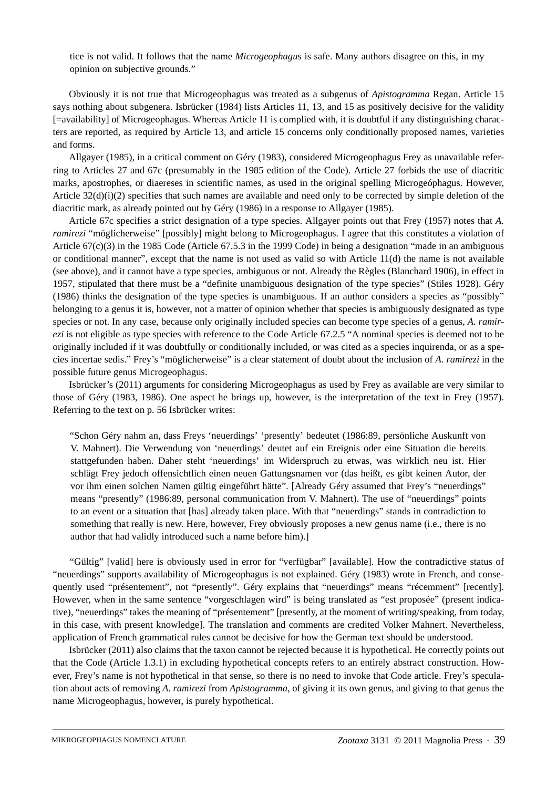tice is not valid. It follows that the name *Microgeophagu*s is safe. Many authors disagree on this, in my opinion on subjective grounds."

Obviously it is not true that Microgeophagus was treated as a subgenus of *Apistogramma* Regan. Article 15 says nothing about subgenera. Isbrücker (1984) lists Articles 11, 13, and 15 as positively decisive for the validity [=availability] of Microgeophagus. Whereas Article 11 is complied with, it is doubtful if any distinguishing characters are reported, as required by Article 13, and article 15 concerns only conditionally proposed names, varieties and forms.

Allgayer (1985), in a critical comment on Géry (1983), considered Microgeophagus Frey as unavailable referring to Articles 27 and 67c (presumably in the 1985 edition of the Code). Article 27 forbids the use of diacritic marks, apostrophes, or diaereses in scientific names, as used in the original spelling Microgeóphagus. However, Article 32(d)(i)(2) specifies that such names are available and need only to be corrected by simple deletion of the diacritic mark, as already pointed out by Géry (1986) in a response to Allgayer (1985).

Article 67c specifies a strict designation of a type species. Allgayer points out that Frey (1957) notes that *A. ramirezi* "möglicherweise" [possibly] might belong to Microgeophagus. I agree that this constitutes a violation of Article  $67(c)(3)$  in the 1985 Code (Article 67.5.3 in the 1999 Code) in being a designation "made in an ambiguous or conditional manner", except that the name is not used as valid so with Article 11(d) the name is not available (see above), and it cannot have a type species, ambiguous or not. Already the Règles (Blanchard 1906), in effect in 1957, stipulated that there must be a "definite unambiguous designation of the type species" (Stiles 1928). Géry (1986) thinks the designation of the type species is unambiguous. If an author considers a species as "possibly" belonging to a genus it is, however, not a matter of opinion whether that species is ambiguously designated as type species or not. In any case, because only originally included species can become type species of a genus, *A. ramirezi* is not eligible as type species with reference to the Code Article 67.2.5 "A nominal species is deemed not to be originally included if it was doubtfully or conditionally included, or was cited as a species inquirenda, or as a species incertae sedis." Frey's "möglicherweise" is a clear statement of doubt about the inclusion of *A. ramirezi* in the possible future genus Microgeophagus.

Isbrücker's (2011) arguments for considering Microgeophagus as used by Frey as available are very similar to those of Géry (1983, 1986). One aspect he brings up, however, is the interpretation of the text in Frey (1957). Referring to the text on p. 56 Isbrücker writes:

"Schon Géry nahm an, dass Freys 'neuerdings' 'presently' bedeutet (1986:89, persönliche Auskunft von V. Mahnert). Die Verwendung von 'neuerdings' deutet auf ein Ereignis oder eine Situation die bereits stattgefunden haben. Daher steht 'neuerdings' im Widerspruch zu etwas, was wirklich neu ist. Hier schlägt Frey jedoch offensichtlich einen neuen Gattungsnamen vor (das heißt, es gibt keinen Autor, der vor ihm einen solchen Namen gültig eingeführt hätte". [Already Géry assumed that Frey's "neuerdings" means "presently" (1986:89, personal communication from V. Mahnert). The use of "neuerdings" points to an event or a situation that [has] already taken place. With that "neuerdings" stands in contradiction to something that really is new. Here, however, Frey obviously proposes a new genus name (i.e., there is no author that had validly introduced such a name before him).]

"Gültig" [valid] here is obviously used in error for "verfügbar" [available]. How the contradictive status of "neuerdings" supports availability of Microgeophagus is not explained. Géry (1983) wrote in French, and consequently used "présentement", not "presently". Géry explains that "neuerdings" means "récemment" [recently]. However, when in the same sentence "vorgeschlagen wird" is being translated as "est proposée" (present indicative), "neuerdings" takes the meaning of "présentement" [presently, at the moment of writing/speaking, from today, in this case, with present knowledge]. The translation and comments are credited Volker Mahnert. Nevertheless, application of French grammatical rules cannot be decisive for how the German text should be understood.

Isbrücker (2011) also claims that the taxon cannot be rejected because it is hypothetical. He correctly points out that the Code (Article 1.3.1) in excluding hypothetical concepts refers to an entirely abstract construction. However, Frey's name is not hypothetical in that sense, so there is no need to invoke that Code article. Frey's speculation about acts of removing *A. ramirezi* from *Apistogramma*, of giving it its own genus, and giving to that genus the name Microgeophagus, however, is purely hypothetical.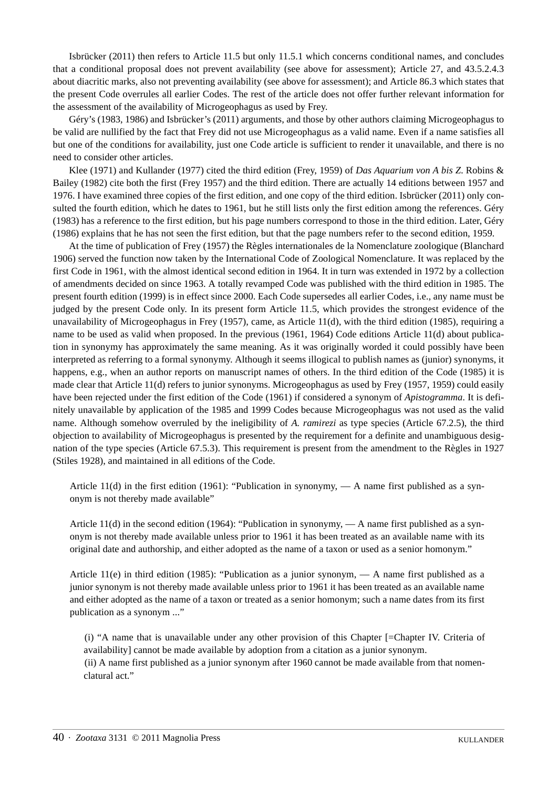Isbrücker (2011) then refers to Article 11.5 but only 11.5.1 which concerns conditional names, and concludes that a conditional proposal does not prevent availability (see above for assessment); Article 27, and 43.5.2.4.3 about diacritic marks, also not preventing availability (see above for assessment); and Article 86.3 which states that the present Code overrules all earlier Codes. The rest of the article does not offer further relevant information for the assessment of the availability of Microgeophagus as used by Frey.

Géry's (1983, 1986) and Isbrücker's (2011) arguments, and those by other authors claiming Microgeophagus to be valid are nullified by the fact that Frey did not use Microgeophagus as a valid name. Even if a name satisfies all but one of the conditions for availability, just one Code article is sufficient to render it unavailable, and there is no need to consider other articles.

Klee (1971) and Kullander (1977) cited the third edition (Frey, 1959) of *Das Aquarium von A bis Z*. Robins & Bailey (1982) cite both the first (Frey 1957) and the third edition. There are actually 14 editions between 1957 and 1976. I have examined three copies of the first edition, and one copy of the third edition. Isbrücker (2011) only consulted the fourth edition, which he dates to 1961, but he still lists only the first edition among the references. Géry (1983) has a reference to the first edition, but his page numbers correspond to those in the third edition. Later, Géry (1986) explains that he has not seen the first edition, but that the page numbers refer to the second edition, 1959.

At the time of publication of Frey (1957) the Règles internationales de la Nomenclature zoologique (Blanchard 1906) served the function now taken by the International Code of Zoological Nomenclature. It was replaced by the first Code in 1961, with the almost identical second edition in 1964. It in turn was extended in 1972 by a collection of amendments decided on since 1963. A totally revamped Code was published with the third edition in 1985. The present fourth edition (1999) is in effect since 2000. Each Code supersedes all earlier Codes, i.e., any name must be judged by the present Code only. In its present form Article 11.5, which provides the strongest evidence of the unavailability of Microgeophagus in Frey (1957), came, as Article 11(d), with the third edition (1985), requiring a name to be used as valid when proposed. In the previous (1961, 1964) Code editions Article 11(d) about publication in synonymy has approximately the same meaning. As it was originally worded it could possibly have been interpreted as referring to a formal synonymy. Although it seems illogical to publish names as (junior) synonyms, it happens, e.g., when an author reports on manuscript names of others. In the third edition of the Code (1985) it is made clear that Article 11(d) refers to junior synonyms. Microgeophagus as used by Frey (1957, 1959) could easily have been rejected under the first edition of the Code (1961) if considered a synonym of *Apistogramma*. It is definitely unavailable by application of the 1985 and 1999 Codes because Microgeophagus was not used as the valid name. Although somehow overruled by the ineligibility of *A. ramirezi* as type species (Article 67.2.5), the third objection to availability of Microgeophagus is presented by the requirement for a definite and unambiguous designation of the type species (Article 67.5.3). This requirement is present from the amendment to the Règles in 1927 (Stiles 1928), and maintained in all editions of the Code.

Article 11(d) in the first edition (1961): "Publication in synonymy,  $\overline{A}$  and first published as a synonym is not thereby made available"

Article 11(d) in the second edition (1964): "Publication in synonymy, — A name first published as a synonym is not thereby made available unless prior to 1961 it has been treated as an available name with its original date and authorship, and either adopted as the name of a taxon or used as a senior homonym."

Article 11(e) in third edition (1985): "Publication as a junior synonym, — A name first published as a junior synonym is not thereby made available unless prior to 1961 it has been treated as an available name and either adopted as the name of a taxon or treated as a senior homonym; such a name dates from its first publication as a synonym ..."

(i) "A name that is unavailable under any other provision of this Chapter [=Chapter IV. Criteria of availability] cannot be made available by adoption from a citation as a junior synonym. (ii) A name first published as a junior synonym after 1960 cannot be made available from that nomenclatural act."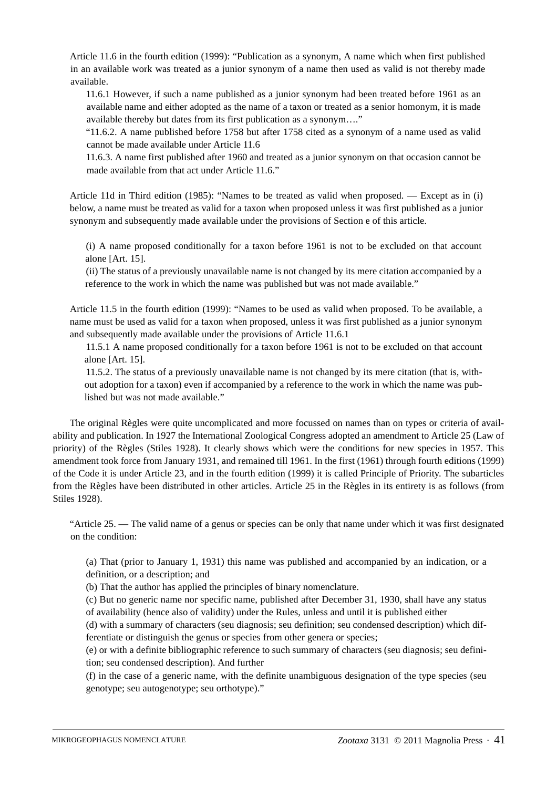Article 11.6 in the fourth edition (1999): "Publication as a synonym, A name which when first published in an available work was treated as a junior synonym of a name then used as valid is not thereby made available.

11.6.1 However, if such a name published as a junior synonym had been treated before 1961 as an available name and either adopted as the name of a taxon or treated as a senior homonym, it is made available thereby but dates from its first publication as a synonym…."

"11.6.2. A name published before 1758 but after 1758 cited as a synonym of a name used as valid cannot be made available under Article 11.6

11.6.3. A name first published after 1960 and treated as a junior synonym on that occasion cannot be made available from that act under Article 11.6."

Article 11d in Third edition (1985): "Names to be treated as valid when proposed. — Except as in (i) below, a name must be treated as valid for a taxon when proposed unless it was first published as a junior synonym and subsequently made available under the provisions of Section e of this article.

(i) A name proposed conditionally for a taxon before 1961 is not to be excluded on that account alone [Art. 15].

(ii) The status of a previously unavailable name is not changed by its mere citation accompanied by a reference to the work in which the name was published but was not made available."

Article 11.5 in the fourth edition (1999): "Names to be used as valid when proposed. To be available, a name must be used as valid for a taxon when proposed, unless it was first published as a junior synonym and subsequently made available under the provisions of Article 11.6.1

11.5.1 A name proposed conditionally for a taxon before 1961 is not to be excluded on that account alone [Art. 15].

11.5.2. The status of a previously unavailable name is not changed by its mere citation (that is, without adoption for a taxon) even if accompanied by a reference to the work in which the name was published but was not made available."

The original Règles were quite uncomplicated and more focussed on names than on types or criteria of availability and publication. In 1927 the International Zoological Congress adopted an amendment to Article 25 (Law of priority) of the Règles (Stiles 1928). It clearly shows which were the conditions for new species in 1957. This amendment took force from January 1931, and remained till 1961. In the first (1961) through fourth editions (1999) of the Code it is under Article 23, and in the fourth edition (1999) it is called Principle of Priority. The subarticles from the Règles have been distributed in other articles. Article 25 in the Règles in its entirety is as follows (from Stiles 1928).

"Article 25. — The valid name of a genus or species can be only that name under which it was first designated on the condition:

(a) That (prior to January 1, 1931) this name was published and accompanied by an indication, or a definition, or a description; and

(b) That the author has applied the principles of binary nomenclature.

(c) But no generic name nor specific name, published after December 31, 1930, shall have any status of availability (hence also of validity) under the Rules, unless and until it is published either

(d) with a summary of characters (seu diagnosis; seu definition; seu condensed description) which differentiate or distinguish the genus or species from other genera or species;

(e) or with a definite bibliographic reference to such summary of characters (seu diagnosis; seu definition; seu condensed description). And further

(f) in the case of a generic name, with the definite unambiguous designation of the type species (seu genotype; seu autogenotype; seu orthotype)."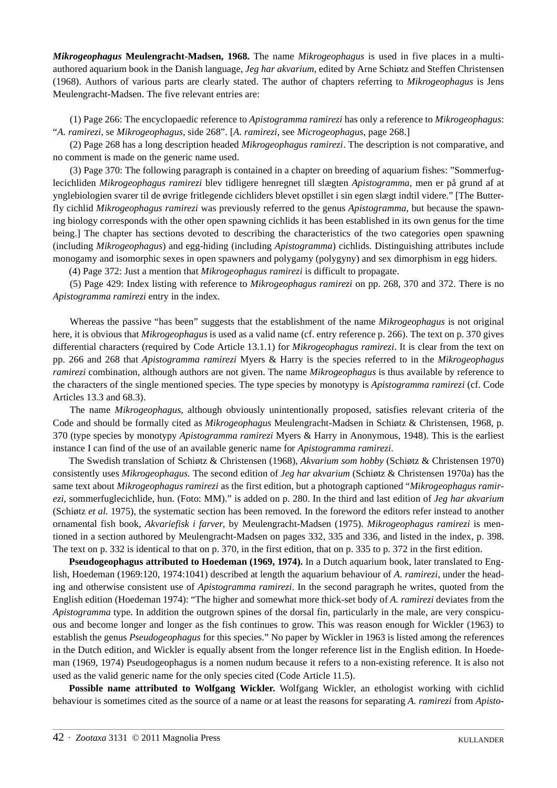*Mikrogeophagus* **Meulengracht-Madsen, 1968.** The name *Mikrogeophagus* is used in five places in a multiauthored aquarium book in the Danish language, *Jeg har akvarium*, edited by Arne Schiøtz and Steffen Christensen (1968). Authors of various parts are clearly stated. The author of chapters referring to *Mikrogeophagus* is Jens Meulengracht-Madsen. The five relevant entries are:

(1) Page 266: The encyclopaedic reference to *Apistogramma ramirezi* has only a reference to *Mikrogeophagus*: "*A*. *ramirezi*, se *Mikrogeophagus*, side 268". [*A. ramirezi*, see *Microgeophagus,* page 268.]

 (2) Page 268 has a long description headed *Mikrogeophagus ramirezi*. The description is not comparative, and no comment is made on the generic name used.

 (3) Page 370: The following paragraph is contained in a chapter on breeding of aquarium fishes: "Sommerfuglecichliden *Mikrogeophagus ramirezi* blev tidligere henregnet till slægten *Apistogramma*, men er på grund af at ynglebiologien svarer til de øvrige fritlegende cichliders blevet opstillet i sin egen slægt indtil videre." [The Butterfly cichlid *Mikrogeophagus ramirezi* was previously referred to the genus *Apistogramma*, but because the spawning biology corresponds with the other open spawning cichlids it has been established in its own genus for the time being.] The chapter has sections devoted to describing the characteristics of the two categories open spawning (including *Mikrogeophagus*) and egg-hiding (including *Apistogramma*) cichlids. Distinguishing attributes include monogamy and isomorphic sexes in open spawners and polygamy (polygyny) and sex dimorphism in egg hiders.

(4) Page 372: Just a mention that *Mikrogeophagus ramirezi* is difficult to propagate.

 (5) Page 429: Index listing with reference to *Mikrogeophagus ramirezi* on pp. 268, 370 and 372. There is no *Apistogramma ramirezi* entry in the index.

 Whereas the passive "has been" suggests that the establishment of the name *Mikrogeophagus* is not original here, it is obvious that *Mikrogeophagus* is used as a valid name (cf. entry reference p. 266). The text on p. 370 gives differential characters (required by Code Article 13.1.1) for *Mikrogeophagus ramirezi*. It is clear from the text on pp. 266 and 268 that *Apistogramma ramirezi* Myers & Harry is the species referred to in the *Mikrogeophagus ramirezi* combination, although authors are not given. The name *Mikrogeophagus* is thus available by reference to the characters of the single mentioned species. The type species by monotypy is *Apistogramma ramirezi* (cf. Code Articles 13.3 and 68.3).

 The name *Mikrogeophagus*, although obviously unintentionally proposed, satisfies relevant criteria of the Code and should be formally cited as *Mikrogeophagus* Meulengracht-Madsen in Schiøtz & Christensen, 1968, p. 370 (type species by monotypy *Apistogramma ramirezi* Myers & Harry in Anonymous, 1948). This is the earliest instance I can find of the use of an available generic name for *Apistogramma ramirezi*.

The Swedish translation of Schiøtz & Christensen (1968), *Akvarium som hobby* (Schiøtz & Christensen 1970) consistently uses *Mikrogeophagus.* The second edition of *Jeg har akvarium* (Schiøtz & Christensen 1970a) has the same text about *Mikrogeophagus ramirezi* as the first edition, but a photograph captioned "*Mikrogeophagus ramirezi*, sommerfuglecichlide, hun. (Foto: MM)." is added on p. 280. In the third and last edition of *Jeg har akvarium* (Schiøtz *et al.* 1975), the systematic section has been removed. In the foreword the editors refer instead to another ornamental fish book, *Akvariefisk i farver*, by Meulengracht-Madsen (1975). *Mikrogeophagus ramirezi* is mentioned in a section authored by Meulengracht-Madsen on pages 332, 335 and 336, and listed in the index, p. 398. The text on p. 332 is identical to that on p. 370, in the first edition, that on p. 335 to p. 372 in the first edition.

**Pseudogeophagus attributed to Hoedeman (1969, 1974).** In a Dutch aquarium book, later translated to English, Hoedeman (1969:120, 1974:1041) described at length the aquarium behaviour of *A. ramirezi*, under the heading and otherwise consistent use of *Apistogramma ramirezi*. In the second paragraph he writes, quoted from the English edition (Hoedeman 1974): "The higher and somewhat more thick-set body of *A. ramirezi* deviates from the *Apistogramma* type. In addition the outgrown spines of the dorsal fin, particularly in the male, are very conspicuous and become longer and longer as the fish continues to grow. This was reason enough for Wickler (1963) to establish the genus *Pseudogeophagus* for this species." No paper by Wickler in 1963 is listed among the references in the Dutch edition, and Wickler is equally absent from the longer reference list in the English edition. In Hoedeman (1969, 1974) Pseudogeophagus is a nomen nudum because it refers to a non-existing reference. It is also not used as the valid generic name for the only species cited (Code Article 11.5).

**Possible name attributed to Wolfgang Wickler.** Wolfgang Wickler, an ethologist working with cichlid behaviour is sometimes cited as the source of a name or at least the reasons for separating *A. ramirezi* from *Apisto-*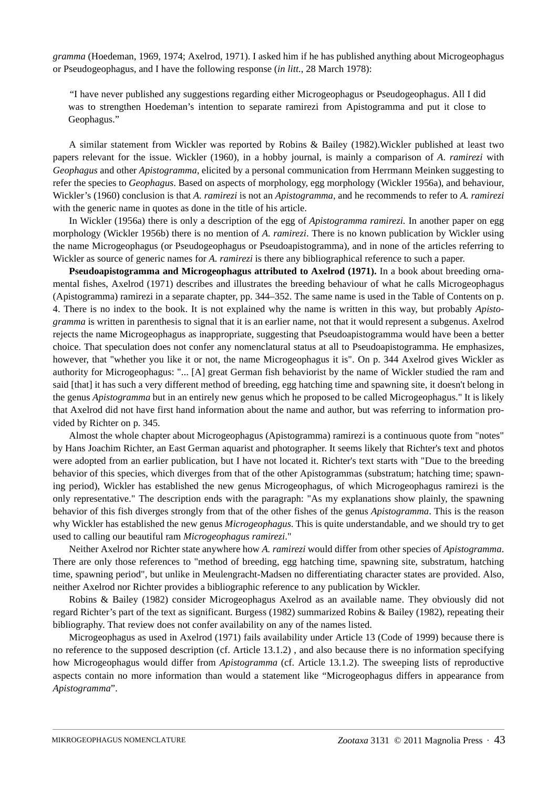*gramma* (Hoedeman, 1969, 1974; Axelrod, 1971). I asked him if he has published anything about Microgeophagus or Pseudogeophagus, and I have the following response (*in litt.*, 28 March 1978):

"I have never published any suggestions regarding either Microgeophagus or Pseudogeophagus. All I did was to strengthen Hoedeman's intention to separate ramirezi from Apistogramma and put it close to Geophagus."

A similar statement from Wickler was reported by Robins & Bailey (1982).Wickler published at least two papers relevant for the issue. Wickler (1960), in a hobby journal, is mainly a comparison of *A. ramirezi* with *Geophagus* and other *Apistogramma*, elicited by a personal communication from Herrmann Meinken suggesting to refer the species to *Geophagus*. Based on aspects of morphology, egg morphology (Wickler 1956a), and behaviour, Wickler's (1960) conclusion is that *A. ramirezi* is not an *Apistogramma*, and he recommends to refer to *A. ramirezi* with the generic name in quotes as done in the title of his article.

In Wickler (1956a) there is only a description of the egg of *Apistogramma ramirezi.* In another paper on egg morphology (Wickler 1956b) there is no mention of *A. ramirezi*. There is no known publication by Wickler using the name Microgeophagus (or Pseudogeophagus or Pseudoapistogramma), and in none of the articles referring to Wickler as source of generic names for *A. ramirezi* is there any bibliographical reference to such a paper.

**Pseudoapistogramma and Microgeophagus attributed to Axelrod (1971).** In a book about breeding ornamental fishes, Axelrod (1971) describes and illustrates the breeding behaviour of what he calls Microgeophagus (Apistogramma) ramirezi in a separate chapter, pp. 344–352. The same name is used in the Table of Contents on p. 4. There is no index to the book. It is not explained why the name is written in this way, but probably *Apistogramma* is written in parenthesis to signal that it is an earlier name, not that it would represent a subgenus. Axelrod rejects the name Microgeophagus as inappropriate, suggesting that Pseudoapistogramma would have been a better choice. That speculation does not confer any nomenclatural status at all to Pseudoapistogramma. He emphasizes, however, that "whether you like it or not, the name Microgeophagus it is". On p. 344 Axelrod gives Wickler as authority for Microgeophagus: "... [A] great German fish behaviorist by the name of Wickler studied the ram and said [that] it has such a very different method of breeding, egg hatching time and spawning site, it doesn't belong in the genus *Apistogramma* but in an entirely new genus which he proposed to be called Microgeophagus." It is likely that Axelrod did not have first hand information about the name and author, but was referring to information provided by Richter on p. 345.

Almost the whole chapter about Microgeophagus (Apistogramma) ramirezi is a continuous quote from "notes" by Hans Joachim Richter, an East German aquarist and photographer. It seems likely that Richter's text and photos were adopted from an earlier publication, but I have not located it. Richter's text starts with "Due to the breeding behavior of this species, which diverges from that of the other Apistogrammas (substratum; hatching time; spawning period), Wickler has established the new genus Microgeophagus, of which Microgeophagus ramirezi is the only representative." The description ends with the paragraph: "As my explanations show plainly, the spawning behavior of this fish diverges strongly from that of the other fishes of the genus *Apistogramma*. This is the reason why Wickler has established the new genus *Microgeophagus*. This is quite understandable, and we should try to get used to calling our beautiful ram *Microgeophagus ramirezi*."

Neither Axelrod nor Richter state anywhere how *A. ramirezi* would differ from other species of *Apistogramma*. There are only those references to "method of breeding, egg hatching time, spawning site, substratum, hatching time, spawning period", but unlike in Meulengracht-Madsen no differentiating character states are provided. Also, neither Axelrod nor Richter provides a bibliographic reference to any publication by Wickler.

Robins & Bailey (1982) consider Microgeophagus Axelrod as an available name. They obviously did not regard Richter's part of the text as significant. Burgess (1982) summarized Robins & Bailey (1982), repeating their bibliography. That review does not confer availability on any of the names listed.

Microgeophagus as used in Axelrod (1971) fails availability under Article 13 (Code of 1999) because there is no reference to the supposed description (cf. Article 13.1.2) , and also because there is no information specifying how Microgeophagus would differ from *Apistogramma* (cf. Article 13.1.2). The sweeping lists of reproductive aspects contain no more information than would a statement like "Microgeophagus differs in appearance from *Apistogramma*".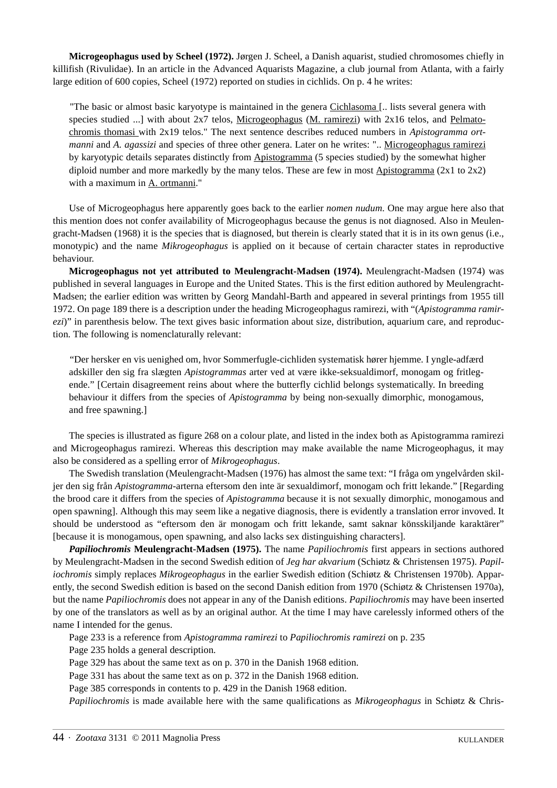**Microgeophagus used by Scheel (1972).** Jørgen J. Scheel, a Danish aquarist, studied chromosomes chiefly in killifish (Rivulidae). In an article in the Advanced Aquarists Magazine, a club journal from Atlanta, with a fairly large edition of 600 copies, Scheel (1972) reported on studies in cichlids. On p. 4 he writes:

"The basic or almost basic karyotype is maintained in the genera Cichlasoma [.. lists several genera with species studied ...] with about 2x7 telos, Microgeophagus (M. ramirezi) with 2x16 telos, and Pelmatochromis thomasi with 2x19 telos." The next sentence describes reduced numbers in *Apistogramma ortmanni* and *A. agassizi* and species of three other genera. Later on he writes: ".. Microgeophagus ramirezi by karyotypic details separates distinctly from Apistogramma (5 species studied) by the somewhat higher diploid number and more markedly by the many telos. These are few in most Apistogramma  $(2x1$  to  $2x2)$ with a maximum in A. ortmanni."

Use of Microgeophagus here apparently goes back to the earlier *nomen nudum*. One may argue here also that this mention does not confer availability of Microgeophagus because the genus is not diagnosed. Also in Meulengracht-Madsen (1968) it is the species that is diagnosed, but therein is clearly stated that it is in its own genus (i.e., monotypic) and the name *Mikrogeophagus* is applied on it because of certain character states in reproductive behaviour.

**Microgeophagus not yet attributed to Meulengracht-Madsen (1974).** Meulengracht-Madsen (1974) was published in several languages in Europe and the United States. This is the first edition authored by Meulengracht-Madsen; the earlier edition was written by Georg Mandahl-Barth and appeared in several printings from 1955 till 1972. On page 189 there is a description under the heading Microgeophagus ramirezi, with "(*Apistogramma ramirezi*)" in parenthesis below. The text gives basic information about size, distribution, aquarium care, and reproduction. The following is nomenclaturally relevant:

"Der hersker en vis uenighed om, hvor Sommerfugle-cichliden systematisk hører hjemme. I yngle-adfærd adskiller den sig fra slægten *Apistogrammas* arter ved at være ikke-seksualdimorf, monogam og fritlegende." [Certain disagreement reins about where the butterfly cichlid belongs systematically. In breeding behaviour it differs from the species of *Apistogramma* by being non-sexually dimorphic, monogamous, and free spawning.]

The species is illustrated as figure 268 on a colour plate, and listed in the index both as Apistogramma ramirezi and Microgeophagus ramirezi. Whereas this description may make available the name Microgeophagus*,* it may also be considered as a spelling error of *Mikrogeophagus*.

The Swedish translation (Meulengracht-Madsen (1976) has almost the same text: "I fråga om yngelvården skiljer den sig från *Apistogramma*-arterna eftersom den inte är sexualdimorf, monogam och fritt lekande." [Regarding the brood care it differs from the species of *Apistogramma* because it is not sexually dimorphic, monogamous and open spawning]. Although this may seem like a negative diagnosis, there is evidently a translation error invoved. It should be understood as "eftersom den är monogam och fritt lekande, samt saknar könsskiljande karaktärer" [because it is monogamous, open spawning, and also lacks sex distinguishing characters].

*Papiliochromis* **Meulengracht-Madsen (1975).** The name *Papiliochromis* first appears in sections authored by Meulengracht-Madsen in the second Swedish edition of *Jeg har akvarium* (Schiøtz & Christensen 1975). *Papiliochromis* simply replaces *Mikrogeophagus* in the earlier Swedish edition (Schiøtz & Christensen 1970b). Apparently, the second Swedish edition is based on the second Danish edition from 1970 (Schiøtz & Christensen 1970a), but the name *Papiliochromis* does not appear in any of the Danish editions. *Papiliochromis* may have been inserted by one of the translators as well as by an original author. At the time I may have carelessly informed others of the name I intended for the genus.

Page 233 is a reference from *Apistogramma ramirezi* to *Papiliochromis ramirezi* on p. 235

Page 235 holds a general description.

Page 329 has about the same text as on p. 370 in the Danish 1968 edition.

Page 331 has about the same text as on p. 372 in the Danish 1968 edition.

Page 385 corresponds in contents to p. 429 in the Danish 1968 edition.

*Papiliochromis* is made available here with the same qualifications as *Mikrogeophagus* in Schiøtz & Chris-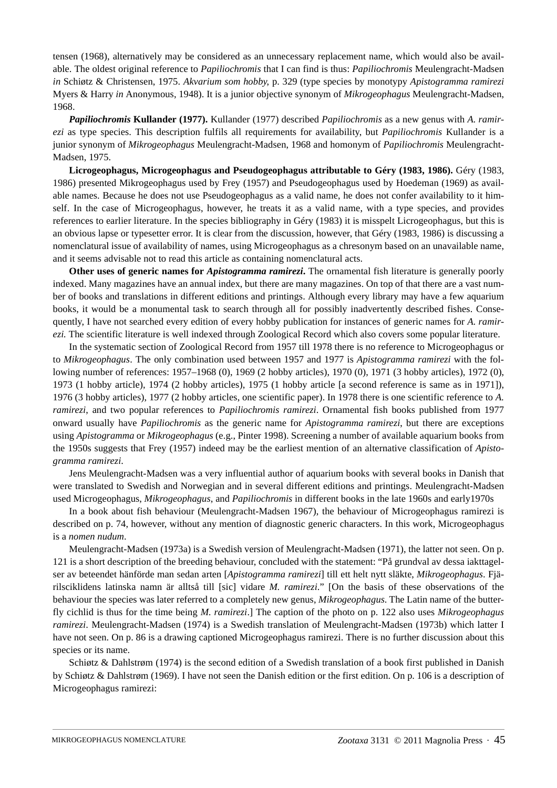tensen (1968), alternatively may be considered as an unnecessary replacement name, which would also be available. The oldest original reference to *Papiliochromis* that I can find is thus: *Papiliochromis* Meulengracht-Madsen *in* Schiøtz & Christensen, 1975. *Akvarium som hobby*, p. 329 (type species by monotypy *Apistogramma ramirezi* Myers & Harry *in* Anonymous, 1948). It is a junior objective synonym of *Mikrogeophagus* Meulengracht-Madsen, 1968.

*Papiliochromis* **Kullander (1977).** Kullander (1977) described *Papiliochromis* as a new genus with *A. ramirezi* as type species. This description fulfils all requirements for availability, but *Papiliochromis* Kullander is a junior synonym of *Mikrogeophagus* Meulengracht-Madsen, 1968 and homonym of *Papiliochromis* Meulengracht-Madsen, 1975.

**Licrogeophagus, Microgeophagus and Pseudogeophagus attributable to Géry (1983, 1986).** Géry (1983, 1986) presented Mikrogeophagus used by Frey (1957) and Pseudogeophagus used by Hoedeman (1969) as available names. Because he does not use Pseudogeophagus as a valid name, he does not confer availability to it himself. In the case of Microgeophagus, however, he treats it as a valid name, with a type species, and provides references to earlier literature. In the species bibliography in Géry (1983) it is misspelt Licrogeophagus, but this is an obvious lapse or typesetter error. It is clear from the discussion, however, that Géry (1983, 1986) is discussing a nomenclatural issue of availability of names, using Microgeophagus as a chresonym based on an unavailable name, and it seems advisable not to read this article as containing nomenclatural acts.

**Other uses of generic names for** *Apistogramma ramirezi***.** The ornamental fish literature is generally poorly indexed. Many magazines have an annual index, but there are many magazines. On top of that there are a vast number of books and translations in different editions and printings. Although every library may have a few aquarium books, it would be a monumental task to search through all for possibly inadvertently described fishes. Consequently, I have not searched every edition of every hobby publication for instances of generic names for *A. ramirezi.* The scientific literature is well indexed through Zoological Record which also covers some popular literature.

In the systematic section of Zoological Record from 1957 till 1978 there is no reference to Microgeophagus or to *Mikrogeophagus*. The only combination used between 1957 and 1977 is *Apistogramma ramirezi* with the following number of references: 1957–1968 (0), 1969 (2 hobby articles), 1970 (0), 1971 (3 hobby articles), 1972 (0), 1973 (1 hobby article), 1974 (2 hobby articles), 1975 (1 hobby article [a second reference is same as in 1971]), 1976 (3 hobby articles), 1977 (2 hobby articles, one scientific paper). In 1978 there is one scientific reference to *A. ramirezi*, and two popular references to *Papiliochromis ramirezi*. Ornamental fish books published from 1977 onward usually have *Papiliochromis* as the generic name for *Apistogramma ramirezi*, but there are exceptions using *Apistogramma* or *Mikrogeophagus* (e.g., Pinter 1998). Screening a number of available aquarium books from the 1950s suggests that Frey (1957) indeed may be the earliest mention of an alternative classification of *Apistogramma ramirezi*.

Jens Meulengracht-Madsen was a very influential author of aquarium books with several books in Danish that were translated to Swedish and Norwegian and in several different editions and printings. Meulengracht-Madsen used Microgeophagus, *Mikrogeophagus*, and *Papiliochromis* in different books in the late 1960s and early1970s

In a book about fish behaviour (Meulengracht-Madsen 1967), the behaviour of Microgeophagus ramirezi is described on p. 74, however, without any mention of diagnostic generic characters. In this work, Microgeophagus is a *nomen nudum*.

Meulengracht-Madsen (1973a) is a Swedish version of Meulengracht-Madsen (1971), the latter not seen. On p. 121 is a short description of the breeding behaviour, concluded with the statement: "På grundval av dessa iakttagelser av beteendet hänförde man sedan arten [*Apistogramma ramirezi*] till ett helt nytt släkte, *Mikrogeophagus*. Fjärilsciklidens latinska namn är alltså till [sic] vidare *M. ramirezi*." [On the basis of these observations of the behaviour the species was later referred to a completely new genus, *Mikrogeophagus*. The Latin name of the butterfly cichlid is thus for the time being *M. ramirezi*.] The caption of the photo on p. 122 also uses *Mikrogeophagus ramirezi*. Meulengracht-Madsen (1974) is a Swedish translation of Meulengracht-Madsen (1973b) which latter I have not seen. On p. 86 is a drawing captioned Microgeophagus ramirezi. There is no further discussion about this species or its name.

Schiøtz & Dahlstrøm (1974) is the second edition of a Swedish translation of a book first published in Danish by Schiøtz & Dahlstrøm (1969). I have not seen the Danish edition or the first edition. On p. 106 is a description of Microgeophagus ramirezi: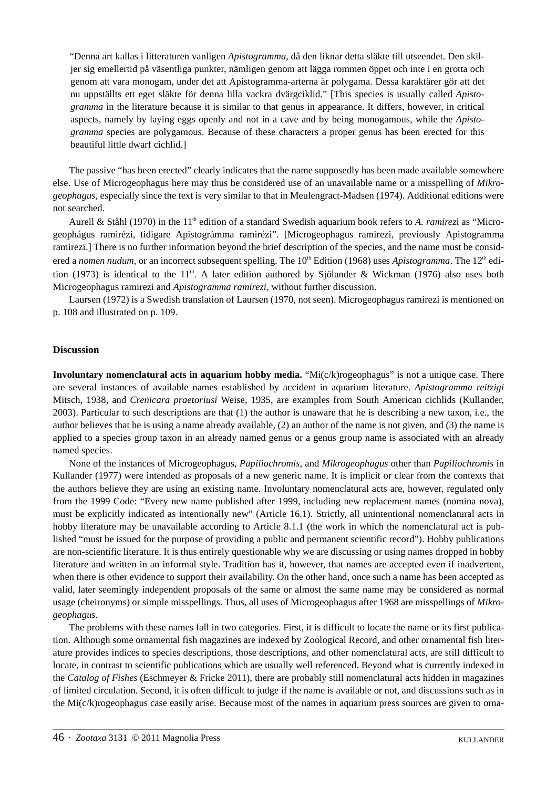"Denna art kallas i litteraturen vanligen *Apistogramma*, då den liknar detta släkte till utseendet. Den skiljer sig emellertid på väsentliga punkter, nämligen genom att lägga rommen öppet och inte i en grotta och genom att vara monogam, under det att Apistogramma-arterna är polygama. Dessa karaktärer gör att det nu uppställts ett eget släkte för denna lilla vackra dvärgciklid." [This species is usually called *Apistogramma* in the literature because it is similar to that genus in appearance. It differs, however, in critical aspects, namely by laying eggs openly and not in a cave and by being monogamous, while the *Apistogramma* species are polygamous. Because of these characters a proper genus has been erected for this beautiful little dwarf cichlid.]

The passive "has been erected" clearly indicates that the name supposedly has been made available somewhere else. Use of Microgeophagus here may thus be considered use of an unavailable name or a misspelling of *Mikrogeophagus*, especially since the text is very similar to that in Meulengract-Madsen (1974). Additional editions were not searched.

Aurell & Ståhl (1970) in the 11<sup>th</sup> edition of a standard Swedish aquarium book refers to *A. ramirezi* as "Microgeophágus ramirézi, tidigare Apistográmma ramirézi". [Microgeophagus ramirezi, previously Apistogramma ramirezi.] There is no further information beyond the brief description of the species, and the name must be considered a *nomen nudum*, or an incorrect subsequent spelling. The 10<sup>th</sup> Edition (1968) uses *Apistogramma*. The 12<sup>th</sup> edition (1973) is identical to the 11<sup>th</sup>. A later edition authored by Siölander & Wickman (1976) also uses both Microgeophagus ramirezi and *Apistogramma ramirezi*, without further discussion.

Laursen (1972) is a Swedish translation of Laursen (1970, not seen). Microgeophagus ramirezi is mentioned on p. 108 and illustrated on p. 109.

# **Discussion**

**Involuntary nomenclatural acts in aquarium hobby media.** "Mi(c/k)rogeophagus" is not a unique case. There are several instances of available names established by accident in aquarium literature. *Apistogramma reitzigi* Mitsch, 1938, and *Crenicara praetoriusi* Weise, 1935, are examples from South American cichlids (Kullander, 2003). Particular to such descriptions are that (1) the author is unaware that he is describing a new taxon, i.e., the author believes that he is using a name already available, (2) an author of the name is not given, and (3) the name is applied to a species group taxon in an already named genus or a genus group name is associated with an already named species.

None of the instances of Microgeophagus, *Papiliochromis*, and *Mikrogeophagus* other than *Papiliochromis* in Kullander (1977) were intended as proposals of a new generic name. It is implicit or clear from the contexts that the authors believe they are using an existing name. Involuntary nomenclatural acts are, however, regulated only from the 1999 Code: "Every new name published after 1999, including new replacement names (nomina nova), must be explicitly indicated as intentionally new" (Article 16.1). Strictly, all unintentional nomenclatural acts in hobby literature may be unavailable according to Article 8.1.1 (the work in which the nomenclatural act is published "must be issued for the purpose of providing a public and permanent scientific record"). Hobby publications are non-scientific literature. It is thus entirely questionable why we are discussing or using names dropped in hobby literature and written in an informal style. Tradition has it, however, that names are accepted even if inadvertent, when there is other evidence to support their availability. On the other hand, once such a name has been accepted as valid, later seemingly independent proposals of the same or almost the same name may be considered as normal usage (cheironyms) or simple misspellings. Thus, all uses of Microgeophagus after 1968 are misspellings of *Mikrogeophagus*.

The problems with these names fall in two categories. First, it is difficult to locate the name or its first publication. Although some ornamental fish magazines are indexed by Zoological Record, and other ornamental fish literature provides indices to species descriptions, those descriptions, and other nomenclatural acts, are still difficult to locate, in contrast to scientific publications which are usually well referenced. Beyond what is currently indexed in the *Catalog of Fishes* (Eschmeyer & Fricke 2011), there are probably still nomenclatural acts hidden in magazines of limited circulation. Second, it is often difficult to judge if the name is available or not, and discussions such as in the Mi(c/k)rogeophagus case easily arise. Because most of the names in aquarium press sources are given to orna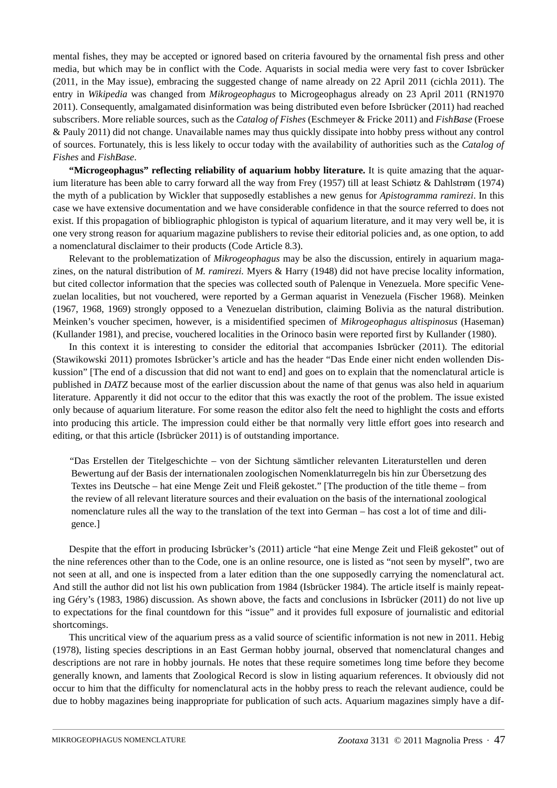mental fishes, they may be accepted or ignored based on criteria favoured by the ornamental fish press and other media, but which may be in conflict with the Code. Aquarists in social media were very fast to cover Isbrücker (2011, in the May issue), embracing the suggested change of name already on 22 April 2011 (cichla 2011). The entry in *Wikipedia* was changed from *Mikrogeophagus* to Microgeophagus already on 23 April 2011 (RN1970 2011). Consequently, amalgamated disinformation was being distributed even before Isbrücker (2011) had reached subscribers. More reliable sources, such as the *Catalog of Fishes* (Eschmeyer & Fricke 2011) and *FishBase* (Froese & Pauly 2011) did not change. Unavailable names may thus quickly dissipate into hobby press without any control of sources. Fortunately, this is less likely to occur today with the availability of authorities such as the *Catalog of Fishes* and *FishBase*.

**"Microgeophagus" reflecting reliability of aquarium hobby literature.** It is quite amazing that the aquarium literature has been able to carry forward all the way from Frey (1957) till at least Schiøtz & Dahlstrøm (1974) the myth of a publication by Wickler that supposedly establishes a new genus for *Apistogramma ramirezi*. In this case we have extensive documentation and we have considerable confidence in that the source referred to does not exist. If this propagation of bibliographic phlogiston is typical of aquarium literature, and it may very well be, it is one very strong reason for aquarium magazine publishers to revise their editorial policies and, as one option, to add a nomenclatural disclaimer to their products (Code Article 8.3).

Relevant to the problematization of *Mikrogeophagus* may be also the discussion, entirely in aquarium magazines, on the natural distribution of *M. ramirezi.* Myers & Harry (1948) did not have precise locality information, but cited collector information that the species was collected south of Palenque in Venezuela. More specific Venezuelan localities, but not vouchered, were reported by a German aquarist in Venezuela (Fischer 1968). Meinken (1967, 1968, 1969) strongly opposed to a Venezuelan distribution, claiming Bolivia as the natural distribution. Meinken's voucher specimen, however, is a misidentified specimen of *Mikrogeophagus altispinosus* (Haseman) (Kullander 1981), and precise, vouchered localities in the Orinoco basin were reported first by Kullander (1980).

In this context it is interesting to consider the editorial that accompanies Isbrücker (2011). The editorial (Stawikowski 2011) promotes Isbrücker's article and has the header "Das Ende einer nicht enden wollenden Diskussion" [The end of a discussion that did not want to end] and goes on to explain that the nomenclatural article is published in *DATZ* because most of the earlier discussion about the name of that genus was also held in aquarium literature. Apparently it did not occur to the editor that this was exactly the root of the problem. The issue existed only because of aquarium literature. For some reason the editor also felt the need to highlight the costs and efforts into producing this article. The impression could either be that normally very little effort goes into research and editing, or that this article (Isbrücker 2011) is of outstanding importance.

"Das Erstellen der Titelgeschichte – von der Sichtung sämtlicher relevanten Literaturstellen und deren Bewertung auf der Basis der internationalen zoologischen Nomenklaturregeln bis hin zur Übersetzung des Textes ins Deutsche – hat eine Menge Zeit und Fleiß gekostet." [The production of the title theme – from the review of all relevant literature sources and their evaluation on the basis of the international zoological nomenclature rules all the way to the translation of the text into German – has cost a lot of time and diligence.]

Despite that the effort in producing Isbrücker's (2011) article "hat eine Menge Zeit und Fleiß gekostet" out of the nine references other than to the Code, one is an online resource, one is listed as "not seen by myself", two are not seen at all, and one is inspected from a later edition than the one supposedly carrying the nomenclatural act. And still the author did not list his own publication from 1984 (Isbrücker 1984). The article itself is mainly repeating Géry's (1983, 1986) discussion. As shown above, the facts and conclusions in Isbrücker (2011) do not live up to expectations for the final countdown for this "issue" and it provides full exposure of journalistic and editorial shortcomings.

This uncritical view of the aquarium press as a valid source of scientific information is not new in 2011. Hebig (1978), listing species descriptions in an East German hobby journal, observed that nomenclatural changes and descriptions are not rare in hobby journals. He notes that these require sometimes long time before they become generally known, and laments that Zoological Record is slow in listing aquarium references. It obviously did not occur to him that the difficulty for nomenclatural acts in the hobby press to reach the relevant audience, could be due to hobby magazines being inappropriate for publication of such acts. Aquarium magazines simply have a dif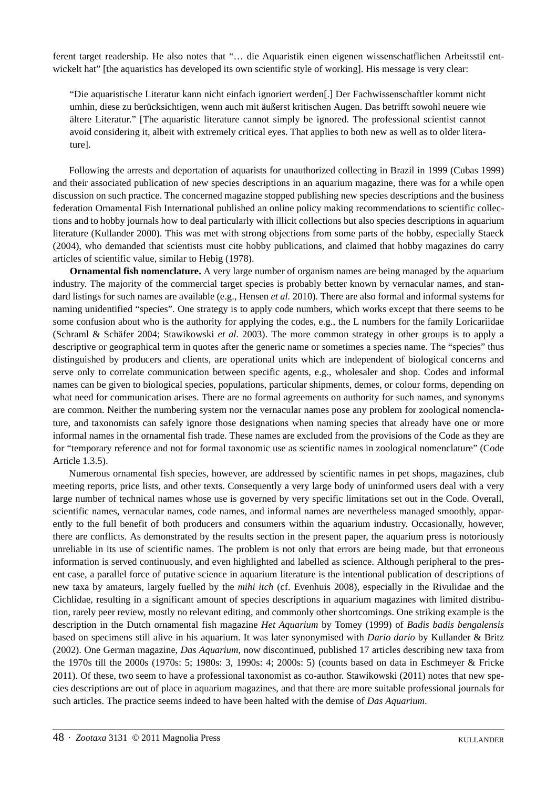ferent target readership. He also notes that "… die Aquaristik einen eigenen wissenschatflichen Arbeitsstil entwickelt hat" [the aquaristics has developed its own scientific style of working]. His message is very clear:

"Die aquaristische Literatur kann nicht einfach ignoriert werden[.] Der Fachwissenschaftler kommt nicht umhin, diese zu berücksichtigen, wenn auch mit äußerst kritischen Augen. Das betrifft sowohl neuere wie ältere Literatur." [The aquaristic literature cannot simply be ignored. The professional scientist cannot avoid considering it, albeit with extremely critical eyes. That applies to both new as well as to older literature].

Following the arrests and deportation of aquarists for unauthorized collecting in Brazil in 1999 (Cubas 1999) and their associated publication of new species descriptions in an aquarium magazine, there was for a while open discussion on such practice. The concerned magazine stopped publishing new species descriptions and the business federation Ornamental Fish International published an online policy making recommendations to scientific collections and to hobby journals how to deal particularly with illicit collections but also species descriptions in aquarium literature (Kullander 2000). This was met with strong objections from some parts of the hobby, especially Staeck (2004), who demanded that scientists must cite hobby publications, and claimed that hobby magazines do carry articles of scientific value, similar to Hebig (1978).

**Ornamental fish nomenclature.** A very large number of organism names are being managed by the aquarium industry. The majority of the commercial target species is probably better known by vernacular names, and standard listings for such names are available (e.g., Hensen *et al.* 2010). There are also formal and informal systems for naming unidentified "species". One strategy is to apply code numbers, which works except that there seems to be some confusion about who is the authority for applying the codes, e.g., the L numbers for the family Loricariidae (Schraml & Schäfer 2004; Stawikowski *et al.* 2003). The more common strategy in other groups is to apply a descriptive or geographical term in quotes after the generic name or sometimes a species name. The "species" thus distinguished by producers and clients, are operational units which are independent of biological concerns and serve only to correlate communication between specific agents, e.g., wholesaler and shop. Codes and informal names can be given to biological species, populations, particular shipments, demes, or colour forms, depending on what need for communication arises. There are no formal agreements on authority for such names, and synonyms are common. Neither the numbering system nor the vernacular names pose any problem for zoological nomenclature, and taxonomists can safely ignore those designations when naming species that already have one or more informal names in the ornamental fish trade. These names are excluded from the provisions of the Code as they are for "temporary reference and not for formal taxonomic use as scientific names in zoological nomenclature" (Code Article 1.3.5).

Numerous ornamental fish species, however, are addressed by scientific names in pet shops, magazines, club meeting reports, price lists, and other texts. Consequently a very large body of uninformed users deal with a very large number of technical names whose use is governed by very specific limitations set out in the Code. Overall, scientific names, vernacular names, code names, and informal names are nevertheless managed smoothly, apparently to the full benefit of both producers and consumers within the aquarium industry. Occasionally, however, there are conflicts. As demonstrated by the results section in the present paper, the aquarium press is notoriously unreliable in its use of scientific names. The problem is not only that errors are being made, but that erroneous information is served continuously, and even highlighted and labelled as science. Although peripheral to the present case, a parallel force of putative science in aquarium literature is the intentional publication of descriptions of new taxa by amateurs, largely fuelled by the *mihi itch* (cf. Evenhuis 2008), especially in the Rivulidae and the Cichlidae, resulting in a significant amount of species descriptions in aquarium magazines with limited distribution, rarely peer review, mostly no relevant editing, and commonly other shortcomings. One striking example is the description in the Dutch ornamental fish magazine *Het Aquarium* by Tomey (1999) of *Badis badis bengalensis* based on specimens still alive in his aquarium. It was later synonymised with *Dario dario* by Kullander & Britz (2002). One German magazine, *Das Aquarium*, now discontinued, published 17 articles describing new taxa from the 1970s till the 2000s (1970s: 5; 1980s: 3, 1990s: 4; 2000s: 5) (counts based on data in Eschmeyer & Fricke 2011). Of these, two seem to have a professional taxonomist as co-author. Stawikowski (2011) notes that new species descriptions are out of place in aquarium magazines, and that there are more suitable professional journals for such articles. The practice seems indeed to have been halted with the demise of *Das Aquarium*.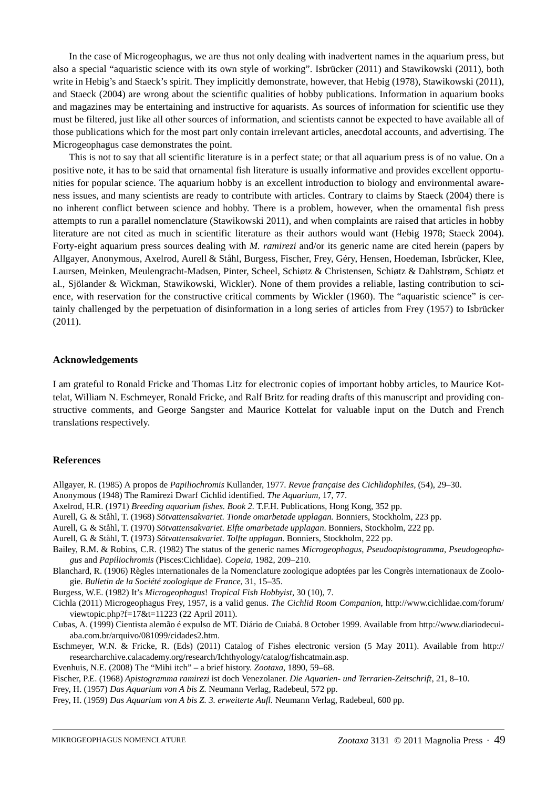In the case of Microgeophagus, we are thus not only dealing with inadvertent names in the aquarium press, but also a special "aquaristic science with its own style of working". Isbrücker (2011) and Stawikowski (2011), both write in Hebig's and Staeck's spirit. They implicitly demonstrate, however, that Hebig (1978), Stawikowski (2011), and Staeck (2004) are wrong about the scientific qualities of hobby publications. Information in aquarium books and magazines may be entertaining and instructive for aquarists. As sources of information for scientific use they must be filtered, just like all other sources of information, and scientists cannot be expected to have available all of those publications which for the most part only contain irrelevant articles, anecdotal accounts, and advertising. The Microgeophagus case demonstrates the point.

This is not to say that all scientific literature is in a perfect state; or that all aquarium press is of no value. On a positive note, it has to be said that ornamental fish literature is usually informative and provides excellent opportunities for popular science. The aquarium hobby is an excellent introduction to biology and environmental awareness issues, and many scientists are ready to contribute with articles. Contrary to claims by Staeck (2004) there is no inherent conflict between science and hobby. There is a problem, however, when the ornamental fish press attempts to run a parallel nomenclature (Stawikowski 2011), and when complaints are raised that articles in hobby literature are not cited as much in scientific literature as their authors would want (Hebig 1978; Staeck 2004). Forty-eight aquarium press sources dealing with *M. ramirezi* and/or its generic name are cited herein (papers by Allgayer, Anonymous, Axelrod, Aurell & Ståhl, Burgess, Fischer, Frey, Géry, Hensen, Hoedeman, Isbrücker, Klee, Laursen, Meinken, Meulengracht-Madsen, Pinter, Scheel, Schiøtz & Christensen, Schiøtz & Dahlstrøm, Schiøtz et al., Sjölander & Wickman, Stawikowski, Wickler). None of them provides a reliable, lasting contribution to science, with reservation for the constructive critical comments by Wickler (1960). The "aquaristic science" is certainly challenged by the perpetuation of disinformation in a long series of articles from Frey (1957) to Isbrücker (2011).

### **Acknowledgements**

I am grateful to Ronald Fricke and Thomas Litz for electronic copies of important hobby articles, to Maurice Kottelat, William N. Eschmeyer, Ronald Fricke, and Ralf Britz for reading drafts of this manuscript and providing constructive comments, and George Sangster and Maurice Kottelat for valuable input on the Dutch and French translations respectively.

## **References**

- Allgayer, R. (1985) A propos de *Papiliochromis* Kullander, 1977. *Revue française des Cichlidophiles,* (54), 29–30.
- Anonymous (1948) The Ramirezi Dwarf Cichlid identified. *The Aquarium,* 17, 77.
- Axelrod, H.R. (1971) *Breeding aquarium fishes. Book 2.* T.F.H. Publications, Hong Kong, 352 pp.
- Aurell, G. & Ståhl, T. (1968) *Sötvattensakvariet. Tionde omarbetade upplagan.* Bonniers, Stockholm, 223 pp.
- Aurell, G. & Ståhl, T. (1970) *Sötvattensakvariet. Elfte omarbetade upplagan*. Bonniers, Stockholm, 222 pp.
- Aurell, G. & Ståhl, T. (1973) *Sötvattensakvariet. Tolfte upplagan*. Bonniers, Stockholm, 222 pp.
- Bailey, R.M. & Robins, C.R. (1982) The status of the generic names *Microgeophagus*, *Pseudoapistogramma*, *Pseudogeophagus* and *Papiliochromis* (Pisces:Cichlidae). *Copeia*, 1982, 209–210.
- Blanchard, R. (1906) Règles internationales de la Nomenclature zoologique adoptées par les Congrès internationaux de Zoologie. *Bulletin de la Société zoologique de France*, 31, 15–35.
- Burgess, W.E. (1982) It's *Microgeophagus*! *Tropical Fish Hobbyist*, 30 (10), 7.
- Cichla (2011) Microgeophagus Frey, 1957, is a valid genus. *The Cichlid Room Companion*, http://www.cichlidae.com/forum/ viewtopic.php?f=17&t=11223 (22 April 2011).
- Cubas, A. (1999) Cientista alemão é expulso de MT. Diário de Cuiabá. 8 October 1999. Available from http://www.diariodecuiaba.com.br/arquivo/081099/cidades2.htm.
- Eschmeyer, W.N. & Fricke, R. (Eds) (2011) Catalog of Fishes electronic version (5 May 2011). Available from http:// researcharchive.calacademy.org/research/Ichthyology/catalog/fishcatmain.asp.
- Evenhuis, N.E. (2008) The "Mihi itch" a brief history. *Zootaxa*, 1890, 59–68.

Fischer, P.E. (1968) *Apistogramma ramirezi* ist doch Venezolaner. *Die Aquarien- und Terrarien-Zeitschrift*, 21, 8–10.

- Frey, H. (1957) *Das Aquarium von A bis Z.* Neumann Verlag, Radebeul, 572 pp.
- Frey, H. (1959) *Das Aquarium von A bis Z. 3. erweiterte Aufl.* Neumann Verlag, Radebeul, 600 pp.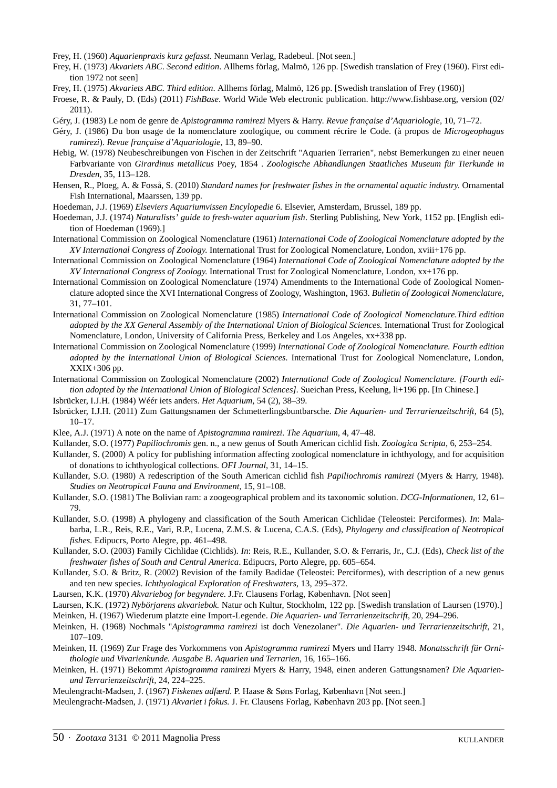Frey, H. (1960) *Aquarienpraxis kurz gefasst*. Neumann Verlag, Radebeul. [Not seen.]

Frey, H. (1973) *Akvariets ABC*. *Second edition*. Allhems förlag, Malmö, 126 pp. [Swedish translation of Frey (1960). First edition 1972 not seen]

- Frey, H. (1975) *Akvariets ABC. Third edition*. Allhems förlag, Malmö, 126 pp. [Swedish translation of Frey (1960)]
- Froese, R. & Pauly, D. (Eds) (2011) *FishBase*. World Wide Web electronic publication. http://www.fishbase.org, version (02/ 2011).
- Géry, J. (1983) Le nom de genre de *Apistogramma ramirezi* Myers & Harry. *Revue française d'Aquariologie,* 10, 71–72.
- Géry, J. (1986) Du bon usage de la nomenclature zoologique, ou comment récrire le Code. (à propos de *Microgeophagus ramirezi*). *Revue française d'Aquariologie,* 13, 89–90.
- Hebig, W. (1978) Neubeschreibungen von Fischen in der Zeitschrift "Aquarien Terrarien", nebst Bemerkungen zu einer neuen Farbvariante von *Girardinus metallicus* Poey, 1854 . *Zoologische Abhandlungen Staatliches Museum für Tierkunde in Dresden*, 35, 113–128.
- Hensen, R., Ploeg, A. & Fosså, S. (2010) *Standard names for freshwater fishes in the ornamental aquatic industry*. Ornamental Fish International, Maarssen, 139 pp.

Hoedeman, J.J. (1969) *Elseviers Aquariumvissen Encylopedie 6*. Elsevier, Amsterdam, Brussel, 189 pp.

- Hoedeman, J.J. (1974) *Naturalists' guide to fresh-water aquarium fish*. Sterling Publishing, New York, 1152 pp. [English edition of Hoedeman (1969).]
- International Commission on Zoological Nomenclature (1961) *International Code of Zoological Nomenclature adopted by the XV International Congress of Zoology.* International Trust for Zoological Nomenclature, London, xviii+176 pp.
- International Commission on Zoological Nomenclature (1964) *International Code of Zoological Nomenclature adopted by the XV International Congress of Zoology.* International Trust for Zoological Nomenclature, London, xx+176 pp.
- International Commission on Zoological Nomenclature (1974) Amendments to the International Code of Zoological Nomenclature adopted since the XVI International Congress of Zoology, Washington, 1963. *Bulletin of Zoological Nomenclature*, 31, 77–101.
- International Commission on Zoological Nomenclature (1985) *International Code of Zoological Nomenclature.Third edition adopted by the XX General Assembly of the International Union of Biological Sciences.* International Trust for Zoological Nomenclature, London, University of California Press, Berkeley and Los Angeles, xx+338 pp.
- International Commission on Zoological Nomenclature (1999) *International Code of Zoological Nomenclature. Fourth edition adopted by the International Union of Biological Sciences.* International Trust for Zoological Nomenclature, London, XXIX+306 pp.
- International Commission on Zoological Nomenclature (2002) *International Code of Zoological Nomenclature. [Fourth edition adopted by the International Union of Biological Sciences]*. Sueichan Press, Keelung, li+196 pp. [In Chinese.]
- Isbrücker, I.J.H. (1984) Wéér iets anders. *Het Aquarium,* 54 (2), 38–39.
- Isbrücker, I.J.H. (2011) Zum Gattungsnamen der Schmetterlingsbuntbarsche. *Die Aquarien- und Terrarienzeitschrift*, 64 (5), 10–17.
- Klee, A.J. (1971) A note on the name of *Apistogramma ramirezi*. *The Aquarium,* 4, 47–48.
- Kullander, S.O. (1977) *Papiliochromis* gen. n., a new genus of South American cichlid fish. *Zoologica Scripta*, 6, 253–254.
- Kullander, S. (2000) A policy for publishing information affecting zoological nomenclature in ichthyology, and for acquisition of donations to ichthyological collections. *OFI Journal*, 31, 14–15.
- Kullander, S.O. (1980) A redescription of the South American cichlid fish *Papiliochromis ramirezi* (Myers & Harry, 1948). *Studies on Neotropical Fauna and Environment*, 15, 91–108.
- Kullander, S.O. (1981) The Bolivian ram: a zoogeographical problem and its taxonomic solution. *DCG-Informationen,* 12, 61– 79.
- Kullander, S.O. (1998) A phylogeny and classification of the South American Cichlidae (Teleostei: Perciformes). *In*: Malabarba, L.R., Reis, R.E., Vari, R.P., Lucena, Z.M.S. & Lucena, C.A.S. (Eds), *Phylogeny and classification of Neotropical fishes*. Edipucrs, Porto Alegre, pp. 461–498.
- Kullander, S.O. (2003) Family Cichlidae (Cichlids). *In*: Reis, R.E., Kullander, S.O. & Ferraris, Jr., C.J. (Eds), *Check list of the freshwater fishes of South and Central America*. Edipucrs, Porto Alegre, pp. 605–654.
- Kullander, S.O. & Britz, R. (2002) Revision of the family Badidae (Teleostei: Perciformes), with description of a new genus and ten new species. *Ichthyological Exploration of Freshwaters*, 13, 295–372.
- Laursen, K.K. (1970) *Akvariebog for begyndere.* J.Fr. Clausens Forlag, København. [Not seen]
- Laursen, K.K. (1972) *Nybörjarens akvariebok.* Natur och Kultur, Stockholm, 122 pp. [Swedish translation of Laursen (1970).]

Meinken, H. (1967) Wiederum platzte eine Import-Legende. *Die Aquarien- und Terrarienzeitschrift*, 20, 294–296.

- Meinken, H. (1968) Nochmals "*Apistogramma ramirezi* ist doch Venezolaner". *Die Aquarien- und Terrarienzeitschrift*, 21, 107–109.
- Meinken, H. (1969) Zur Frage des Vorkommens von *Apistogramma ramirezi* Myers und Harry 1948. *Monatsschrift für Ornithologie und Vivarienkunde. Ausgabe B. Aquarien und Terrarien,* 16, 165–166.
- Meinken, H. (1971) Bekommt *Apistogramma ramirezi* Myers & Harry, 1948, einen anderen Gattungsnamen? *Die Aquarienund Terrarienzeitschrift*, 24, 224–225.
- Meulengracht-Madsen, J. (1967) *Fiskenes adf*æ*rd*. P. Haase & Søns Forlag, København [Not seen.]

Meulengracht-Madsen, J. (1971) *Akvariet i fokus.* J. Fr. Clausens Forlag, København 203 pp. [Not seen.]